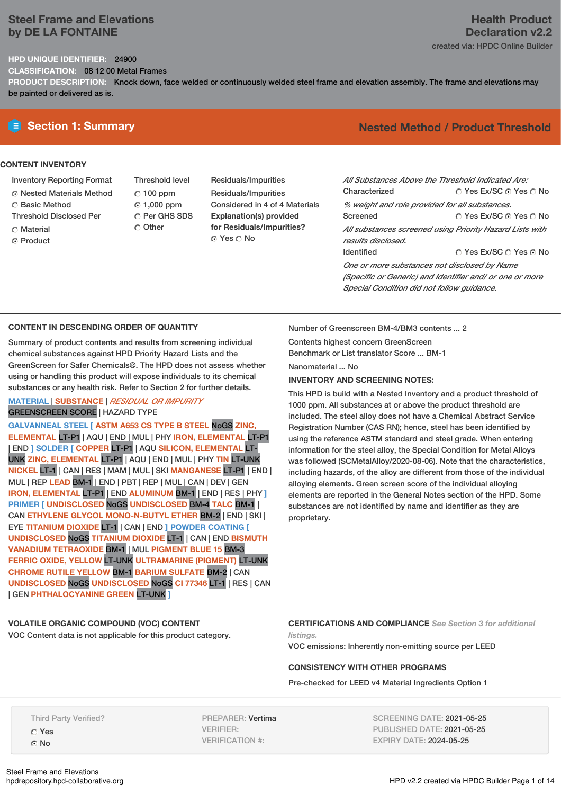## **Steel Frame and Elevations by DE LA FONTAINE**

#### **HPD UNIQUE IDENTIFIER:** 24900

**CLASSIFICATION:** 08 12 00 Metal Frames

**PRODUCT DESCRIPTION:** Knock down, face welded or continuously welded steel frame and elevation assembly. The frame and elevations may be painted or delivered as is.

#### **CONTENT INVENTORY**

- Inventory Reporting Format
- Nested Materials Method
- C Basic Method
- Threshold Disclosed Per
- Material
- ⊙ Product

Threshold level  $C$  100 ppm 1,000 ppm C Per GHS SDS

Other

Residuals/Impurities Residuals/Impurities Considered in 4 of 4 Materials **Explanation(s) provided for Residuals/Impurities?** Yes No

# **Section 1: Summary Nested Method / Product Threshold**

| All Substances Above the Threshold Indicated Are:        |                        |
|----------------------------------------------------------|------------------------|
| Characterized                                            | ∩ Yes Ex/SC ∩ Yes ∩ No |
| % weight and role provided for all substances.           |                        |
| Screened                                                 | ○ Yes Ex/SC ⊙ Yes ○ No |
| All substances screened using Priority Hazard Lists with |                        |
| results disclosed.                                       |                        |
| <b>Identified</b>                                        | ∩ Yes Ex/SC ∩ Yes ∩ No |
| One or more substances not disclosed by Name             |                        |

*One or more substances not disclosed by Name (Specific or Generic) and Identifier and/ or one or more Special Condition did not follow guidance.*

### **CONTENT IN DESCENDING ORDER OF QUANTITY**

Summary of product contents and results from screening individual chemical substances against HPD Priority Hazard Lists and the GreenScreen for Safer Chemicals®. The HPD does not assess whether using or handling this product will expose individuals to its chemical substances or any health risk. Refer to Section 2 for further details.

## **MATERIAL** | **SUBSTANCE** | *RESIDUAL OR IMPURITY* GREENSCREEN SCORE | HAZARD TYPE

**GALVANNEAL STEEL [ ASTM A653 CS TYPE B STEEL** NoGS **ZINC, ELEMENTAL** LT-P1 | AQU | END | MUL | PHY **IRON, ELEMENTAL** LT-P1 | END **] SOLDER [ COPPER** LT-P1 | AQU **SILICON, ELEMENTAL** LT-UNK **ZINC, ELEMENTAL** LT-P1 | AQU | END | MUL | PHY **TIN** LT-UNK **NICKEL** LT-1 | CAN | RES | MAM | MUL | SKI **MANGANESE** LT-P1 | END | MUL | REP **LEAD** BM-1 | END | PBT | REP | MUL | CAN | DEV | GEN **IRON, ELEMENTAL** LT-P1 | END **ALUMINUM** BM-1 | END | RES | PHY **] PRIMER [ UNDISCLOSED** NoGS **UNDISCLOSED** BM-4 **TALC** BM-1 | CAN **ETHYLENE GLYCOL MONO-N-BUTYL ETHER** BM-2 | END | SKI | EYE **TITANIUM DIOXIDE** LT-1 | CAN | END **] POWDER COATING [ UNDISCLOSED** NoGS **TITANIUM DIOXIDE** LT-1 | CAN | END **BISMUTH VANADIUM TETRAOXIDE** BM-1 | MUL **PIGMENT BLUE 15** BM-3 **FERRIC OXIDE, YELLOW** LT-UNK **ULTRAMARINE (PIGMENT)** LT-UNK **CHROME RUTILE YELLOW** BM-1 **BARIUM SULFATE** BM-2 | CAN **UNDISCLOSED** NoGS **UNDISCLOSED** NoGS **CI 77346** LT-1 | RES | CAN | GEN **PHTHALOCYANINE GREEN** LT-UNK **]**

Number of Greenscreen BM-4/BM3 contents ... 2

Contents highest concern GreenScreen Benchmark or List translator Score ... BM-1

Nanomaterial ... No

### **INVENTORY AND SCREENING NOTES:**

This HPD is build with a Nested Inventory and a product threshold of 1000 ppm. All substances at or above the product threshold are included. The steel alloy does not have a Chemical Abstract Service Registration Number (CAS RN); hence, steel has been identified by using the reference ASTM standard and steel grade. When entering information for the steel alloy, the Special Condition for Metal Alloys was followed (SCMetalAlloy/2020-08-06). Note that the characteristics, including hazards, of the alloy are different from those of the individual alloying elements. Green screen score of the individual alloying elements are reported in the General Notes section of the HPD. Some substances are not identified by name and identifier as they are proprietary.

**VOLATILE ORGANIC COMPOUND (VOC) CONTENT** VOC Content data is not applicable for this product category. **CERTIFICATIONS AND COMPLIANCE** *See Section 3 for additional listings.*

VOC emissions: Inherently non-emitting source per LEED

#### **CONSISTENCY WITH OTHER PROGRAMS**

Pre-checked for LEED v4 Material Ingredients Option 1

Yes

⊙ No

PREPARER: Vertima VERIFIER: VERIFICATION #:

SCREENING DATE: 2021-05-25 PUBLISHED DATE: 2021-05-25 EXPIRY DATE: 2024-05-25

# **Health Product Declaration v2.2**

created via: HPDC Online Builder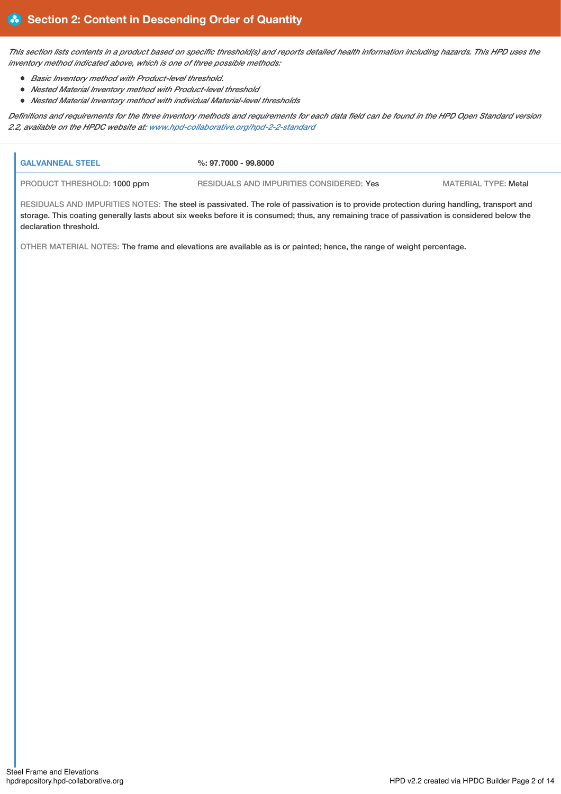This section lists contents in a product based on specific threshold(s) and reports detailed health information including hazards. This HPD uses the *inventory method indicated above, which is one of three possible methods:*

- *Basic Inventory method with Product-level threshold.*
- *Nested Material Inventory method with Product-level threshold*
- *Nested Material Inventory method with individual Material-level thresholds*

Definitions and requirements for the three inventory methods and requirements for each data field can be found in the HPD Open Standard version *2.2, available on the HPDC website at: [www.hpd-collaborative.org/hpd-2-2-standard](https://www.hpd-collaborative.org/hpd-2-2-standard)*

| <b>GALVANNEAL STEEL</b>     | %: 97.7000 - 99.8000                                                                                                                                                                                                                                                                      |                             |
|-----------------------------|-------------------------------------------------------------------------------------------------------------------------------------------------------------------------------------------------------------------------------------------------------------------------------------------|-----------------------------|
| PRODUCT THRESHOLD: 1000 ppm | RESIDUALS AND IMPURITIES CONSIDERED: Yes                                                                                                                                                                                                                                                  | <b>MATERIAL TYPE: Metal</b> |
| declaration threshold.      | RESIDUALS AND IMPURITIES NOTES: The steel is passivated. The role of passivation is to provide protection during handling, transport and<br>storage. This coating generally lasts about six weeks before it is consumed; thus, any remaining trace of passivation is considered below the |                             |
|                             | OTHER MATERIAL NOTES: The frame and elevations are available as is or painted; hence, the range of weight percentage.                                                                                                                                                                     |                             |
|                             |                                                                                                                                                                                                                                                                                           |                             |
|                             |                                                                                                                                                                                                                                                                                           |                             |
|                             |                                                                                                                                                                                                                                                                                           |                             |
|                             |                                                                                                                                                                                                                                                                                           |                             |
|                             |                                                                                                                                                                                                                                                                                           |                             |
|                             |                                                                                                                                                                                                                                                                                           |                             |
|                             |                                                                                                                                                                                                                                                                                           |                             |
|                             |                                                                                                                                                                                                                                                                                           |                             |
|                             |                                                                                                                                                                                                                                                                                           |                             |
|                             |                                                                                                                                                                                                                                                                                           |                             |
|                             |                                                                                                                                                                                                                                                                                           |                             |
|                             |                                                                                                                                                                                                                                                                                           |                             |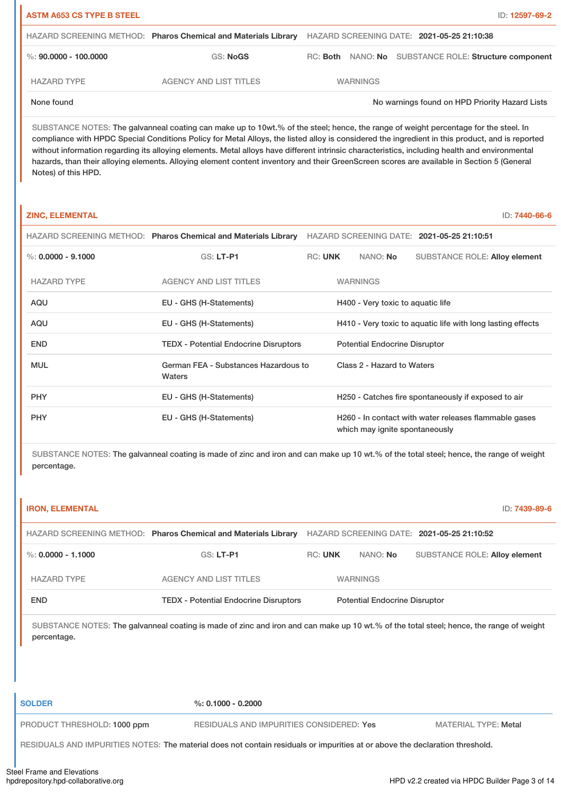| <b>ASTM A653 CS TYPE B STEEL</b> |                                                                |                                            |  | ID: 12597-69-2                                        |
|----------------------------------|----------------------------------------------------------------|--------------------------------------------|--|-------------------------------------------------------|
|                                  | HAZARD SCREENING METHOD: Pharos Chemical and Materials Library | HAZARD SCREENING DATE: 2021-05-25 21:10:38 |  |                                                       |
| %: 90,0000 - 100,0000            | <b>GS: NoGS</b>                                                |                                            |  | RC: Both NANO: No SUBSTANCE ROLE: Structure component |
| <b>HAZARD TYPE</b>               | AGENCY AND LIST TITLES                                         | <b>WARNINGS</b>                            |  |                                                       |
| None found                       |                                                                |                                            |  | No warnings found on HPD Priority Hazard Lists        |

SUBSTANCE NOTES: The galvanneal coating can make up to 10wt.% of the steel; hence, the range of weight percentage for the steel. In compliance with HPDC Special Conditions Policy for Metal Alloys, the listed alloy is considered the ingredient in this product, and is reported without information regarding its alloying elements. Metal alloys have different intrinsic characteristics, including health and environmental hazards, than their alloying elements. Alloying element content inventory and their GreenScreen scores are available in Section 5 (General Notes) of this HPD.

| <b>ZINC, ELEMENTAL</b> |                                                                |                |                                      | ID: 7440-66-6                                               |  |
|------------------------|----------------------------------------------------------------|----------------|--------------------------------------|-------------------------------------------------------------|--|
|                        | HAZARD SCREENING METHOD: Pharos Chemical and Materials Library |                |                                      | HAZARD SCREENING DATE: 2021-05-25 21:10:51                  |  |
| %: $0.0000 - 9.1000$   | GS: LT-P1                                                      | <b>RC: UNK</b> | NANO: No                             | <b>SUBSTANCE ROLE: Alloy element</b>                        |  |
| <b>HAZARD TYPE</b>     | <b>AGENCY AND LIST TITLES</b>                                  |                | <b>WARNINGS</b>                      |                                                             |  |
| AQU                    | EU - GHS (H-Statements)                                        |                | H400 - Very toxic to aquatic life    |                                                             |  |
| AQU                    | EU - GHS (H-Statements)                                        |                |                                      | H410 - Very toxic to aguatic life with long lasting effects |  |
| <b>END</b>             | <b>TEDX - Potential Endocrine Disruptors</b>                   |                | <b>Potential Endocrine Disruptor</b> |                                                             |  |
| <b>MUL</b>             | German FEA - Substances Hazardous to<br>Waters                 |                | Class 2 - Hazard to Waters           |                                                             |  |
| <b>PHY</b>             | EU - GHS (H-Statements)                                        |                |                                      | H250 - Catches fire spontaneously if exposed to air         |  |
| <b>PHY</b>             | EU - GHS (H-Statements)                                        |                | which may ignite spontaneously       | H260 - In contact with water releases flammable gases       |  |

SUBSTANCE NOTES: The galvanneal coating is made of zinc and iron and can make up 10 wt.% of the total steel; hence, the range of weight percentage.

| <b>IRON, ELEMENTAL</b> |                                                                                                                                         |                |                                      | ID: 7439-89-6                              |
|------------------------|-----------------------------------------------------------------------------------------------------------------------------------------|----------------|--------------------------------------|--------------------------------------------|
|                        | <b>HAZARD SCREENING METHOD: Pharos Chemical and Materials Library</b>                                                                   |                |                                      | HAZARD SCREENING DATE: 2021-05-25 21:10:52 |
| %: $0.0000 - 1.1000$   | $GS: LT-PI$                                                                                                                             | <b>RC: UNK</b> | NANO: No                             | <b>SUBSTANCE ROLE: Alloy element</b>       |
| <b>HAZARD TYPE</b>     | <b>AGENCY AND LIST TITLES</b>                                                                                                           |                | <b>WARNINGS</b>                      |                                            |
| <b>END</b>             | <b>TEDX - Potential Endocrine Disruptors</b>                                                                                            |                | <b>Potential Endocrine Disruptor</b> |                                            |
| percentage.            | SUBSTANCE NOTES: The galvanneal coating is made of zinc and iron and can make up 10 wt.% of the total steel; hence, the range of weight |                |                                      |                                            |

| <b>SOLDER</b>               | $\%$ : 0.1000 - 0.2000                                                                                                       |                             |
|-----------------------------|------------------------------------------------------------------------------------------------------------------------------|-----------------------------|
| PRODUCT THRESHOLD: 1000 ppm | RESIDUALS AND IMPURITIES CONSIDERED: Yes                                                                                     | <b>MATERIAL TYPE: Metal</b> |
|                             | RESIDUALS AND IMPURITIES NOTES: The material does not contain residuals or impurities at or above the declaration threshold. |                             |
|                             |                                                                                                                              |                             |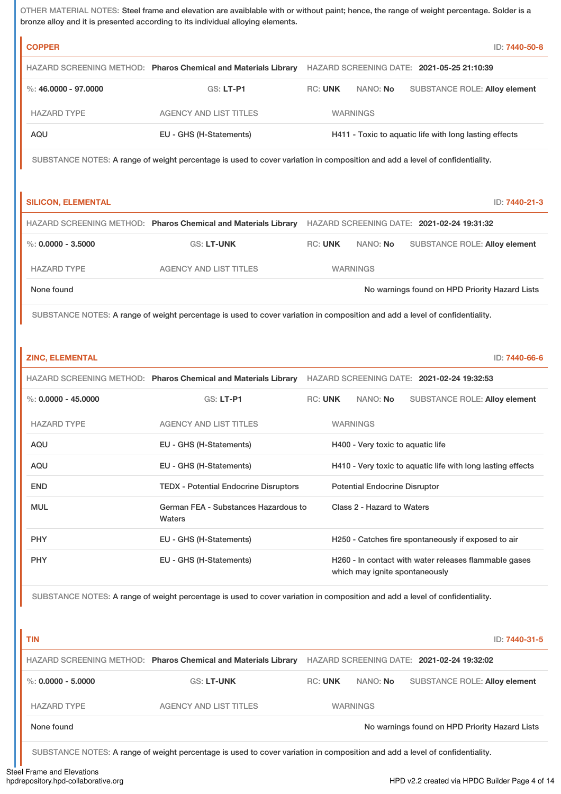OTHER MATERIAL NOTES: Steel frame and elevation are avaiblable with or without paint; hence, the range of weight percentage. Solder is a bronze alloy and it is presented according to its individual alloying elements.

| <b>COPPER</b>             |                                                                                                                             |                |                                      |                                                        | ID: 7440-50-8                                               |
|---------------------------|-----------------------------------------------------------------------------------------------------------------------------|----------------|--------------------------------------|--------------------------------------------------------|-------------------------------------------------------------|
|                           | HAZARD SCREENING METHOD: Pharos Chemical and Materials Library HAZARD SCREENING DATE: 2021-05-25 21:10:39                   |                |                                      |                                                        |                                                             |
| %: $46,0000 - 97,0000$    | <b>GS: LT-P1</b>                                                                                                            | <b>RC: UNK</b> | NANO: No                             |                                                        | <b>SUBSTANCE ROLE: Alloy element</b>                        |
| <b>HAZARD TYPE</b>        | <b>AGENCY AND LIST TITLES</b>                                                                                               |                | <b>WARNINGS</b>                      |                                                        |                                                             |
| AQU                       | EU - GHS (H-Statements)                                                                                                     |                |                                      | H411 - Toxic to aquatic life with long lasting effects |                                                             |
|                           | SUBSTANCE NOTES: A range of weight percentage is used to cover variation in composition and add a level of confidentiality. |                |                                      |                                                        |                                                             |
|                           |                                                                                                                             |                |                                      |                                                        |                                                             |
| <b>SILICON, ELEMENTAL</b> |                                                                                                                             |                |                                      |                                                        | ID: 7440-21-3                                               |
|                           | HAZARD SCREENING METHOD: Pharos Chemical and Materials Library HAZARD SCREENING DATE: 2021-02-24 19:31:32                   |                |                                      |                                                        |                                                             |
| $\%$ : 0.0000 - 3.5000    | <b>GS: LT-UNK</b>                                                                                                           | <b>RC: UNK</b> | NANO: No                             |                                                        | <b>SUBSTANCE ROLE: Alloy element</b>                        |
|                           | <b>AGENCY AND LIST TITLES</b>                                                                                               |                |                                      |                                                        |                                                             |
| <b>HAZARD TYPE</b>        |                                                                                                                             |                | <b>WARNINGS</b>                      |                                                        |                                                             |
| None found                |                                                                                                                             |                |                                      |                                                        | No warnings found on HPD Priority Hazard Lists              |
|                           | SUBSTANCE NOTES: A range of weight percentage is used to cover variation in composition and add a level of confidentiality. |                |                                      |                                                        |                                                             |
|                           |                                                                                                                             |                |                                      |                                                        |                                                             |
| <b>ZINC, ELEMENTAL</b>    |                                                                                                                             |                |                                      |                                                        | ID: 7440-66-6                                               |
|                           | HAZARD SCREENING METHOD: Pharos Chemical and Materials Library HAZARD SCREENING DATE: 2021-02-24 19:32:53                   |                |                                      |                                                        |                                                             |
| $\%$ : 0.0000 - 45.0000   | GS: LT-P1                                                                                                                   | <b>RC: UNK</b> | NANO: No                             |                                                        | <b>SUBSTANCE ROLE: Alloy element</b>                        |
| <b>HAZARD TYPE</b>        | <b>AGENCY AND LIST TITLES</b>                                                                                               |                | <b>WARNINGS</b>                      |                                                        |                                                             |
| AQU                       | EU - GHS (H-Statements)                                                                                                     |                | H400 - Very toxic to aquatic life    |                                                        |                                                             |
| AQU                       | EU - GHS (H-Statements)                                                                                                     |                |                                      |                                                        | H410 - Very toxic to aquatic life with long lasting effects |
| <b>END</b>                | <b>TEDX - Potential Endocrine Disruptors</b>                                                                                |                | <b>Potential Endocrine Disruptor</b> |                                                        |                                                             |
| <b>MUL</b>                | German FEA - Substances Hazardous to                                                                                        |                | Class 2 - Hazard to Waters           |                                                        |                                                             |
|                           | Waters                                                                                                                      |                |                                      |                                                        |                                                             |
| <b>PHY</b>                | EU - GHS (H-Statements)                                                                                                     |                |                                      | H250 - Catches fire spontaneously if exposed to air    |                                                             |
| <b>PHY</b>                | EU - GHS (H-Statements)                                                                                                     |                | which may ignite spontaneously       |                                                        | H260 - In contact with water releases flammable gases       |
|                           | SUBSTANCE NOTES: A range of weight percentage is used to cover variation in composition and add a level of confidentiality. |                |                                      |                                                        |                                                             |
|                           |                                                                                                                             |                |                                      |                                                        |                                                             |
|                           |                                                                                                                             |                |                                      |                                                        |                                                             |
| <b>TIN</b>                |                                                                                                                             |                |                                      |                                                        | ID: 7440-31-5                                               |
|                           | HAZARD SCREENING METHOD: Pharos Chemical and Materials Library                                                              |                |                                      | HAZARD SCREENING DATE: 2021-02-24 19:32:02             |                                                             |
| %: $0.0000 - 5.0000$      | GS: LT-UNK                                                                                                                  | <b>RC: UNK</b> | NANO: No                             |                                                        | <b>SUBSTANCE ROLE: Alloy element</b>                        |
| <b>HAZARD TYPE</b>        | <b>AGENCY AND LIST TITLES</b>                                                                                               |                | <b>WARNINGS</b>                      |                                                        |                                                             |
| None found                |                                                                                                                             |                |                                      |                                                        | No warnings found on HPD Priority Hazard Lists              |

SUBSTANCE NOTES: A range of weight percentage is used to cover variation in composition and add a level of confidentiality.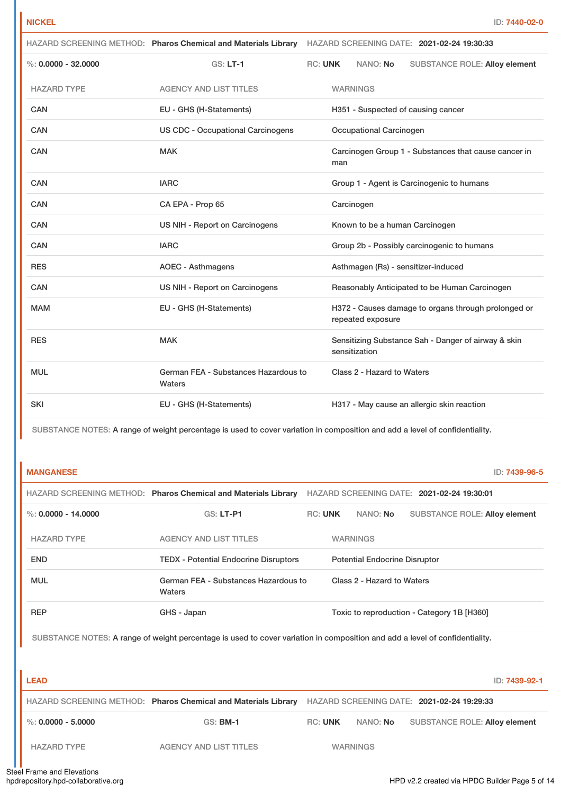|                        |                                                | HAZARD SCREENING METHOD: Pharos Chemical and Materials Library HAZARD SCREENING DATE: 2021-02-24 19:30:33 |     |                                |                                                      |  |
|------------------------|------------------------------------------------|-----------------------------------------------------------------------------------------------------------|-----|--------------------------------|------------------------------------------------------|--|
| $\%: 0.0000 - 32.0000$ | $GS: LT-1$                                     | <b>RC: UNK</b>                                                                                            |     | NANO: No                       | <b>SUBSTANCE ROLE: Alloy element</b>                 |  |
| <b>HAZARD TYPE</b>     | <b>AGENCY AND LIST TITLES</b>                  |                                                                                                           |     | <b>WARNINGS</b>                |                                                      |  |
| CAN                    | EU - GHS (H-Statements)                        |                                                                                                           |     |                                | H351 - Suspected of causing cancer                   |  |
| CAN                    | <b>US CDC - Occupational Carcinogens</b>       |                                                                                                           |     | <b>Occupational Carcinogen</b> |                                                      |  |
| <b>CAN</b>             | <b>MAK</b>                                     |                                                                                                           | man |                                | Carcinogen Group 1 - Substances that cause cancer in |  |
| CAN                    | <b>IARC</b>                                    |                                                                                                           |     |                                | Group 1 - Agent is Carcinogenic to humans            |  |
| CAN                    | CA EPA - Prop 65                               |                                                                                                           |     | Carcinogen                     |                                                      |  |
| <b>CAN</b>             | US NIH - Report on Carcinogens                 |                                                                                                           |     |                                | Known to be a human Carcinogen                       |  |
| CAN                    | <b>IARC</b>                                    |                                                                                                           |     |                                | Group 2b - Possibly carcinogenic to humans           |  |
| <b>RES</b>             | <b>AOEC - Asthmagens</b>                       |                                                                                                           |     |                                | Asthmagen (Rs) - sensitizer-induced                  |  |
| <b>CAN</b>             | US NIH - Report on Carcinogens                 |                                                                                                           |     |                                | Reasonably Anticipated to be Human Carcinogen        |  |
| <b>MAM</b>             | EU - GHS (H-Statements)                        |                                                                                                           |     | repeated exposure              | H372 - Causes damage to organs through prolonged or  |  |
| <b>RES</b>             | <b>MAK</b>                                     |                                                                                                           |     | sensitization                  | Sensitizing Substance Sah - Danger of airway & skin  |  |
| <b>MUL</b>             | German FEA - Substances Hazardous to<br>Waters |                                                                                                           |     | Class 2 - Hazard to Waters     |                                                      |  |
| <b>SKI</b>             | EU - GHS (H-Statements)                        |                                                                                                           |     |                                | H317 - May cause an allergic skin reaction           |  |

SUBSTANCE NOTES: A range of weight percentage is used to cover variation in composition and add a level of confidentiality.

| <b>MANGANESE</b>      |                                                                |                |                                      |                                            | ID: 7439-96-5 |
|-----------------------|----------------------------------------------------------------|----------------|--------------------------------------|--------------------------------------------|---------------|
|                       | HAZARD SCREENING METHOD: Pharos Chemical and Materials Library |                |                                      | HAZARD SCREENING DATE: 2021-02-24 19:30:01 |               |
| %: $0.0000 - 14.0000$ | <b>GS: LT-P1</b>                                               | <b>RC: UNK</b> | NANO: No                             | <b>SUBSTANCE ROLE: Alloy element</b>       |               |
| <b>HAZARD TYPE</b>    | <b>AGENCY AND LIST TITLES</b>                                  |                | <b>WARNINGS</b>                      |                                            |               |
| <b>END</b>            | <b>TEDX - Potential Endocrine Disruptors</b>                   |                | <b>Potential Endocrine Disruptor</b> |                                            |               |
| <b>MUL</b>            | German FEA - Substances Hazardous to<br>Waters                 |                | Class 2 - Hazard to Waters           |                                            |               |
| <b>REP</b>            | GHS - Japan                                                    |                |                                      | Toxic to reproduction - Category 1B [H360] |               |

SUBSTANCE NOTES: A range of weight percentage is used to cover variation in composition and add a level of confidentiality.

| <b>LEAD</b>          |                                                                |                |                 | ID: 7439-92-1                              |
|----------------------|----------------------------------------------------------------|----------------|-----------------|--------------------------------------------|
|                      | HAZARD SCREENING METHOD: Pharos Chemical and Materials Library |                |                 | HAZARD SCREENING DATE: 2021-02-24 19:29:33 |
| %: $0.0000 - 5.0000$ | $GS:$ BM-1                                                     | <b>RC: UNK</b> | NANO: No        | SUBSTANCE ROLE: Alloy element              |
| <b>HAZARD TYPE</b>   | <b>AGENCY AND LIST TITLES</b>                                  |                | <b>WARNINGS</b> |                                            |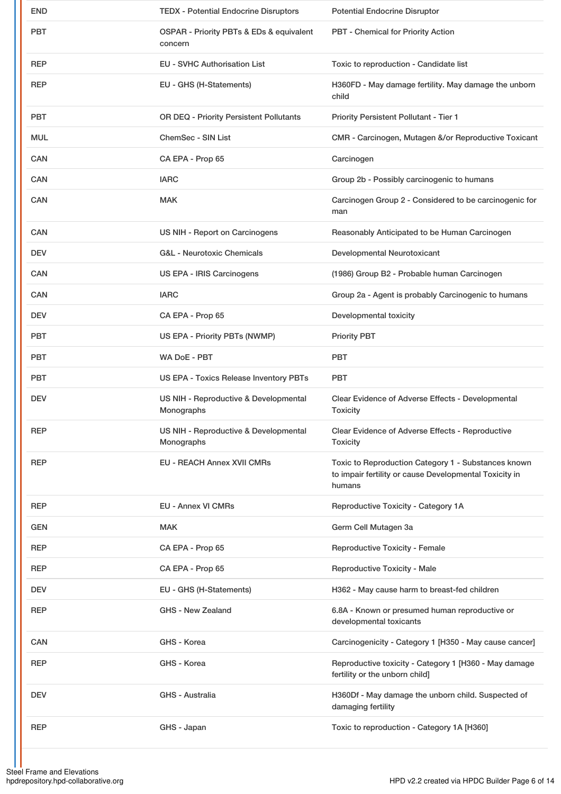| <b>END</b> | <b>TEDX - Potential Endocrine Disruptors</b>        | <b>Potential Endocrine Disruptor</b>                                                                                    |
|------------|-----------------------------------------------------|-------------------------------------------------------------------------------------------------------------------------|
| <b>PBT</b> | OSPAR - Priority PBTs & EDs & equivalent<br>concern | PBT - Chemical for Priority Action                                                                                      |
| REP        | <b>EU - SVHC Authorisation List</b>                 | Toxic to reproduction - Candidate list                                                                                  |
| <b>REP</b> | EU - GHS (H-Statements)                             | H360FD - May damage fertility. May damage the unborn<br>child                                                           |
| <b>PBT</b> | OR DEQ - Priority Persistent Pollutants             | Priority Persistent Pollutant - Tier 1                                                                                  |
| <b>MUL</b> | ChemSec - SIN List                                  | CMR - Carcinogen, Mutagen &/or Reproductive Toxicant                                                                    |
| CAN        | CA EPA - Prop 65                                    | Carcinogen                                                                                                              |
| CAN        | <b>IARC</b>                                         | Group 2b - Possibly carcinogenic to humans                                                                              |
| CAN        | <b>MAK</b>                                          | Carcinogen Group 2 - Considered to be carcinogenic for<br>man                                                           |
| CAN        | US NIH - Report on Carcinogens                      | Reasonably Anticipated to be Human Carcinogen                                                                           |
| <b>DEV</b> | <b>G&amp;L - Neurotoxic Chemicals</b>               | Developmental Neurotoxicant                                                                                             |
| <b>CAN</b> | US EPA - IRIS Carcinogens                           | (1986) Group B2 - Probable human Carcinogen                                                                             |
| CAN        | <b>IARC</b>                                         | Group 2a - Agent is probably Carcinogenic to humans                                                                     |
| <b>DEV</b> | CA EPA - Prop 65                                    | Developmental toxicity                                                                                                  |
| PBT        | US EPA - Priority PBTs (NWMP)                       | <b>Priority PBT</b>                                                                                                     |
| PBT        | <b>WA DoE - PBT</b>                                 | <b>PBT</b>                                                                                                              |
| <b>PBT</b> | <b>US EPA - Toxics Release Inventory PBTs</b>       | <b>PBT</b>                                                                                                              |
| <b>DEV</b> | US NIH - Reproductive & Developmental<br>Monographs | Clear Evidence of Adverse Effects - Developmental<br><b>Toxicity</b>                                                    |
| <b>REP</b> | US NIH - Reproductive & Developmental<br>Monographs | Clear Evidence of Adverse Effects - Reproductive<br><b>Toxicity</b>                                                     |
| REP        | <b>EU - REACH Annex XVII CMRs</b>                   | Toxic to Reproduction Category 1 - Substances known<br>to impair fertility or cause Developmental Toxicity in<br>humans |
| <b>REP</b> | <b>EU - Annex VI CMRs</b>                           | Reproductive Toxicity - Category 1A                                                                                     |
| GEN        | <b>MAK</b>                                          | Germ Cell Mutagen 3a                                                                                                    |
| REP        | CA EPA - Prop 65                                    | <b>Reproductive Toxicity - Female</b>                                                                                   |
| REP        | CA EPA - Prop 65                                    | <b>Reproductive Toxicity - Male</b>                                                                                     |
| <b>DEV</b> | EU - GHS (H-Statements)                             | H362 - May cause harm to breast-fed children                                                                            |
| REP        | <b>GHS - New Zealand</b>                            | 6.8A - Known or presumed human reproductive or<br>developmental toxicants                                               |
| CAN        | GHS - Korea                                         | Carcinogenicity - Category 1 [H350 - May cause cancer]                                                                  |
| REP        | GHS - Korea                                         | Reproductive toxicity - Category 1 [H360 - May damage<br>fertility or the unborn child]                                 |
| <b>DEV</b> | GHS - Australia                                     | H360Df - May damage the unborn child. Suspected of<br>damaging fertility                                                |
| REP        | GHS - Japan                                         | Toxic to reproduction - Category 1A [H360]                                                                              |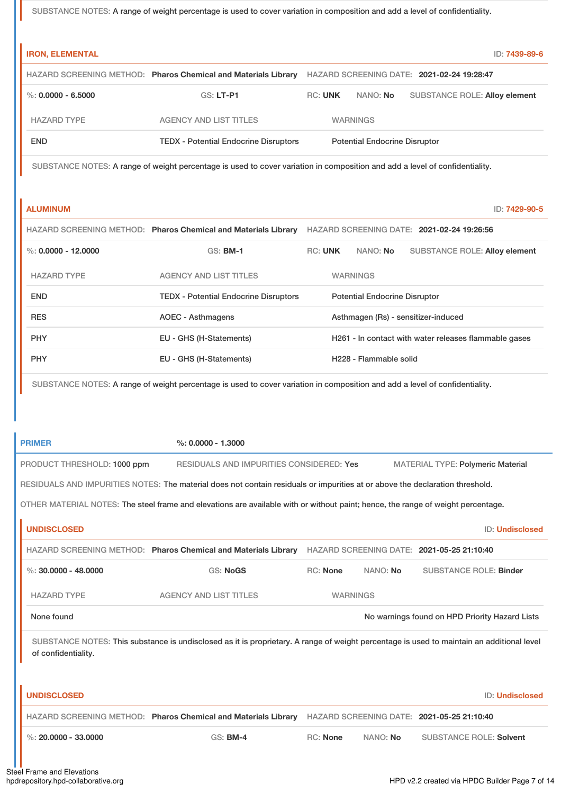SUBSTANCE NOTES: A range of weight percentage is used to cover variation in composition and add a level of confidentiality.

| <b>IRON, ELEMENTAL</b>      |                                                                                                                                  |                |                                      |                                                       | ID: 7439-89-6   |
|-----------------------------|----------------------------------------------------------------------------------------------------------------------------------|----------------|--------------------------------------|-------------------------------------------------------|-----------------|
|                             | HAZARD SCREENING METHOD: Pharos Chemical and Materials Library                                                                   |                |                                      | HAZARD SCREENING DATE: 2021-02-24 19:28:47            |                 |
| $\%: 0.0000 - 6.5000$       | GS: LT-P1                                                                                                                        | <b>RC: UNK</b> | NANO: No                             | <b>SUBSTANCE ROLE: Alloy element</b>                  |                 |
| <b>HAZARD TYPE</b>          | <b>AGENCY AND LIST TITLES</b>                                                                                                    |                | <b>WARNINGS</b>                      |                                                       |                 |
| <b>END</b>                  | <b>TEDX - Potential Endocrine Disruptors</b>                                                                                     |                | <b>Potential Endocrine Disruptor</b> |                                                       |                 |
|                             | SUBSTANCE NOTES: A range of weight percentage is used to cover variation in composition and add a level of confidentiality.      |                |                                      |                                                       |                 |
| <b>ALUMINUM</b>             |                                                                                                                                  |                |                                      |                                                       | ID: 7429-90-5   |
|                             | HAZARD SCREENING METHOD: Pharos Chemical and Materials Library HAZARD SCREENING DATE: 2021-02-24 19:26:56                        |                |                                      |                                                       |                 |
| $\%: 0.0000 - 12.0000$      | GS: <b>BM-1</b>                                                                                                                  | <b>RC: UNK</b> | NANO: No                             | <b>SUBSTANCE ROLE: Alloy element</b>                  |                 |
| <b>HAZARD TYPE</b>          | <b>AGENCY AND LIST TITLES</b>                                                                                                    |                | <b>WARNINGS</b>                      |                                                       |                 |
| <b>END</b>                  | <b>TEDX - Potential Endocrine Disruptors</b>                                                                                     |                | <b>Potential Endocrine Disruptor</b> |                                                       |                 |
| <b>RES</b>                  | <b>AOEC - Asthmagens</b>                                                                                                         |                | Asthmagen (Rs) - sensitizer-induced  |                                                       |                 |
| <b>PHY</b>                  | EU - GHS (H-Statements)                                                                                                          |                |                                      | H261 - In contact with water releases flammable gases |                 |
| <b>PHY</b>                  | EU - GHS (H-Statements)                                                                                                          |                | H228 - Flammable solid               |                                                       |                 |
|                             | SUBSTANCE NOTES: A range of weight percentage is used to cover variation in composition and add a level of confidentiality.      |                |                                      |                                                       |                 |
|                             |                                                                                                                                  |                |                                      |                                                       |                 |
| <b>PRIMER</b>               | $%: 0.0000 - 1.3000$                                                                                                             |                |                                      |                                                       |                 |
| PRODUCT THRESHOLD: 1000 ppm | RESIDUALS AND IMPURITIES CONSIDERED: Yes                                                                                         |                |                                      | <b>MATERIAL TYPE: Polymeric Material</b>              |                 |
|                             | RESIDUALS AND IMPURITIES NOTES: The material does not contain residuals or impurities at or above the declaration threshold.     |                |                                      |                                                       |                 |
|                             | OTHER MATERIAL NOTES: The steel frame and elevations are available with or without paint; hence, the range of weight percentage. |                |                                      |                                                       |                 |
| <b>UNDISCLOSED</b>          |                                                                                                                                  |                |                                      |                                                       | ID: Undisclosed |
|                             | HAZARD SCREENING METHOD: Pharos Chemical and Materials Library HAZARD SCREENING DATE: 2021-05-25 21:10:40                        |                |                                      |                                                       |                 |
| $\%$ : 30.0000 - 48.0000    | <b>GS: NoGS</b>                                                                                                                  | RC: None       | NANO: No                             | <b>SUBSTANCE ROLE: Binder</b>                         |                 |
| <b>HAZARD TYPE</b>          | <b>AGENCY AND LIST TITLES</b>                                                                                                    |                | <b>WARNINGS</b>                      |                                                       |                 |
| None found                  |                                                                                                                                  |                |                                      | No warnings found on HPD Priority Hazard Lists        |                 |
|                             |                                                                                                                                  |                |                                      |                                                       |                 |

| <b>UNDISCLOSED</b>                 |                                                                |                 |                 | ID: Undisclosed                            |
|------------------------------------|----------------------------------------------------------------|-----------------|-----------------|--------------------------------------------|
|                                    | HAZARD SCREENING METHOD: Pharos Chemical and Materials Library |                 |                 | HAZARD SCREENING DATE: 2021-05-25 21:10:40 |
| $\frac{1}{2}$ %: 20,0000 - 33,0000 | $GS:$ BM-4                                                     | <b>RC:</b> None | NANO: <b>No</b> | SUBSTANCE ROLE: Solvent                    |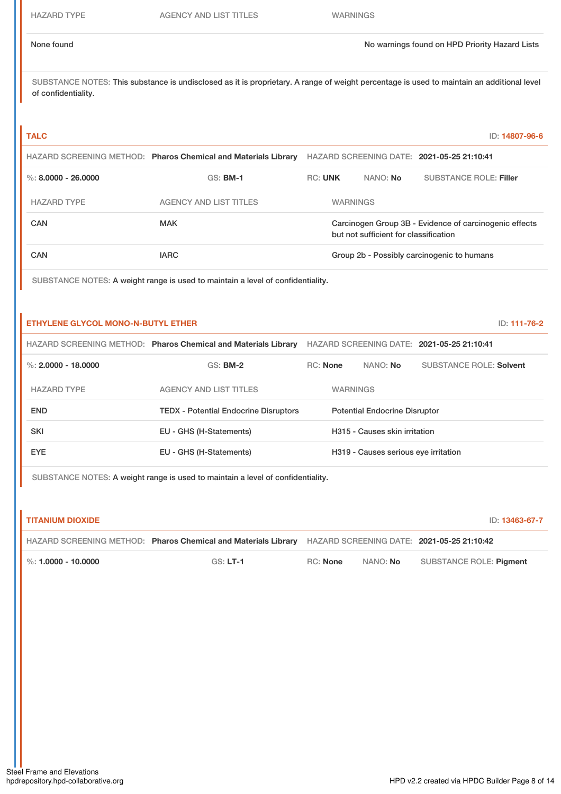### None found Now the Priority Hazard Lists of the November of No warnings found on HPD Priority Hazard Lists

SUBSTANCE NOTES: This substance is undisclosed as it is proprietary. A range of weight percentage is used to maintain an additional level of confidentiality.

### **TALC** ID: **14807-96-6**

|                       | HAZARD SCREENING METHOD: Pharos Chemical and Materials Library |                                                                                                 |                 |                 | HAZARD SCREENING DATE: 2021-05-25 21:10:41 |
|-----------------------|----------------------------------------------------------------|-------------------------------------------------------------------------------------------------|-----------------|-----------------|--------------------------------------------|
| %: $8.0000 - 26.0000$ | $GS:$ BM-1                                                     | <b>RC: UNK</b>                                                                                  |                 | NANO: <b>No</b> | <b>SUBSTANCE ROLE: Filler</b>              |
| <b>HAZARD TYPE</b>    | AGENCY AND LIST TITLES                                         |                                                                                                 | <b>WARNINGS</b> |                 |                                            |
| CAN                   | <b>MAK</b>                                                     | Carcinogen Group 3B - Evidence of carcinogenic effects<br>but not sufficient for classification |                 |                 |                                            |
| CAN                   | <b>IARC</b>                                                    |                                                                                                 |                 |                 | Group 2b - Possibly carcinogenic to humans |

SUBSTANCE NOTES: A weight range is used to maintain a level of confidentiality.

#### **ETHYLENE GLYCOL MONO-N-BUTYL ETHER** ID: **111-76-2**

HAZARD SCREENING METHOD: **Pharos Chemical and Materials Library** HAZARD SCREENING DATE: **2021-05-25 21:10:41**

| %: $2.0000 - 18.0000$ | $GS:$ BM-2                                   | <b>RC:</b> None |                 | NANO: <b>No</b>                      | <b>SUBSTANCE ROLE: Solvent</b> |
|-----------------------|----------------------------------------------|-----------------|-----------------|--------------------------------------|--------------------------------|
| <b>HAZARD TYPE</b>    | <b>AGENCY AND LIST TITLES</b>                |                 | <b>WARNINGS</b> |                                      |                                |
| <b>END</b>            | <b>TEDX - Potential Endocrine Disruptors</b> |                 |                 | <b>Potential Endocrine Disruptor</b> |                                |
| <b>SKI</b>            | EU - GHS (H-Statements)                      |                 |                 | H315 - Causes skin irritation        |                                |
| <b>EYE</b>            | EU - GHS (H-Statements)                      |                 |                 | H319 - Causes serious eye irritation |                                |

SUBSTANCE NOTES: A weight range is used to maintain a level of confidentiality.

| <b>TITANIUM DIOXIDE</b> |                                                                |          |          | ID: 13463-67-7                             |
|-------------------------|----------------------------------------------------------------|----------|----------|--------------------------------------------|
|                         | HAZARD SCREENING METHOD: Pharos Chemical and Materials Library |          |          | HAZARD SCREENING DATE: 2021-05-25 21:10:42 |
| $\%$ : 1.0000 - 10.0000 | $GS: LT-1$                                                     | RC: None | NANO: No | SUBSTANCE ROLE: Piament                    |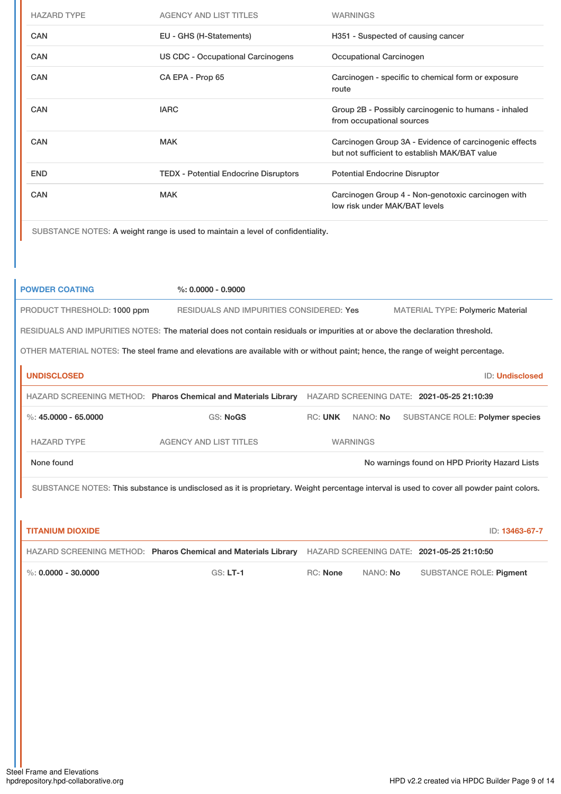| <b>HAZARD TYPE</b> | <b>AGENCY AND LIST TITLES</b>                | <b>WARNINGS</b>                                                                                         |
|--------------------|----------------------------------------------|---------------------------------------------------------------------------------------------------------|
| <b>CAN</b>         | EU - GHS (H-Statements)                      | H351 - Suspected of causing cancer                                                                      |
| <b>CAN</b>         | <b>US CDC - Occupational Carcinogens</b>     | Occupational Carcinogen                                                                                 |
| <b>CAN</b>         | CA EPA - Prop 65                             | Carcinogen - specific to chemical form or exposure<br>route                                             |
| <b>CAN</b>         | <b>IARC</b>                                  | Group 2B - Possibly carcinogenic to humans - inhaled<br>from occupational sources                       |
| <b>CAN</b>         | <b>MAK</b>                                   | Carcinogen Group 3A - Evidence of carcinogenic effects<br>but not sufficient to establish MAK/BAT value |
| <b>END</b>         | <b>TEDX - Potential Endocrine Disruptors</b> | <b>Potential Endocrine Disruptor</b>                                                                    |
| <b>CAN</b>         | <b>MAK</b>                                   | Carcinogen Group 4 - Non-genotoxic carcinogen with<br>low risk under MAK/BAT levels                     |
|                    |                                              |                                                                                                         |

SUBSTANCE NOTES: A weight range is used to maintain a level of confidentiality.

| <b>POWDER COATING</b>                                                                                                                     | $\%: 0.0000 - 0.9000$                    |         |                 |                                                |                        |
|-------------------------------------------------------------------------------------------------------------------------------------------|------------------------------------------|---------|-----------------|------------------------------------------------|------------------------|
| PRODUCT THRESHOLD: 1000 ppm                                                                                                               | RESIDUALS AND IMPURITIES CONSIDERED: Yes |         |                 | <b>MATERIAL TYPE: Polymeric Material</b>       |                        |
| RESIDUALS AND IMPURITIES NOTES: The material does not contain residuals or impurities at or above the declaration threshold.              |                                          |         |                 |                                                |                        |
| OTHER MATERIAL NOTES: The steel frame and elevations are available with or without paint; hence, the range of weight percentage.          |                                          |         |                 |                                                |                        |
| <b>UNDISCLOSED</b>                                                                                                                        |                                          |         |                 |                                                | <b>ID: Undisclosed</b> |
| HAZARD SCREENING METHOD: Pharos Chemical and Materials Library                                                                            |                                          |         |                 | HAZARD SCREENING DATE: 2021-05-25 21:10:39     |                        |
| %: $45.0000 - 65.0000$                                                                                                                    | <b>GS: NoGS</b>                          | RC: UNK | NANO: No        | <b>SUBSTANCE ROLE: Polymer species</b>         |                        |
| <b>HAZARD TYPE</b>                                                                                                                        | <b>AGENCY AND LIST TITLES</b>            |         | <b>WARNINGS</b> |                                                |                        |
| None found                                                                                                                                |                                          |         |                 | No warnings found on HPD Priority Hazard Lists |                        |
| SUBSTANCE NOTES: This substance is undisclosed as it is proprietary. Weight percentage interval is used to cover all powder paint colors. |                                          |         |                 |                                                |                        |
|                                                                                                                                           |                                          |         |                 |                                                |                        |

| <b>TITANIUM DIOXIDE</b> |                                                                                                           |                 |          | ID: 13463-67-7          |
|-------------------------|-----------------------------------------------------------------------------------------------------------|-----------------|----------|-------------------------|
|                         | HAZARD SCREENING METHOD: Pharos Chemical and Materials Library HAZARD SCREENING DATE: 2021-05-25 21:10:50 |                 |          |                         |
| $\%$ : 0.0000 - 30.0000 | $GS: LT-1$                                                                                                | <b>RC:</b> None | NANO: No | SUBSTANCE ROLE: Pigment |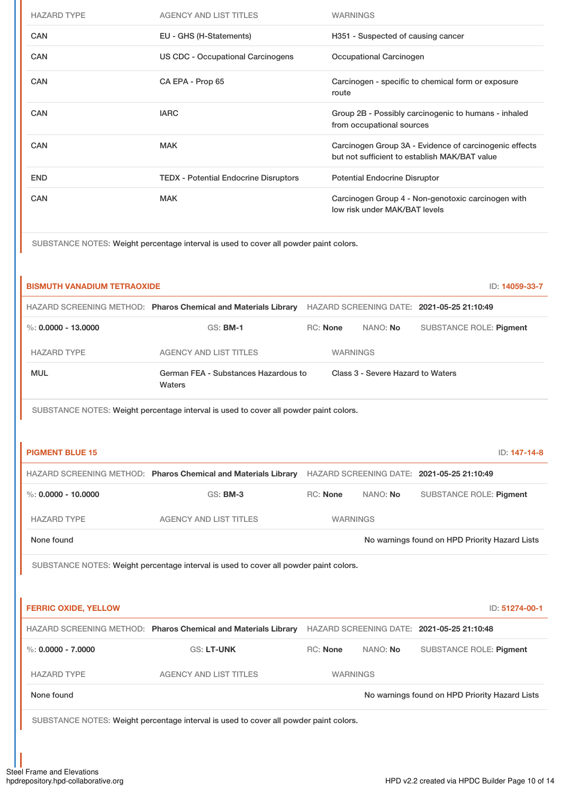| <b>HAZARD TYPE</b>                                                                    | <b>AGENCY AND LIST TITLES</b>                | <b>WARNINGS</b>                                                                                         |  |  |
|---------------------------------------------------------------------------------------|----------------------------------------------|---------------------------------------------------------------------------------------------------------|--|--|
| CAN                                                                                   | EU - GHS (H-Statements)                      | H351 - Suspected of causing cancer                                                                      |  |  |
| <b>CAN</b>                                                                            | <b>US CDC - Occupational Carcinogens</b>     | Occupational Carcinogen                                                                                 |  |  |
| <b>CAN</b>                                                                            | CA EPA - Prop 65                             | Carcinogen - specific to chemical form or exposure<br>route                                             |  |  |
| <b>CAN</b>                                                                            | <b>IARC</b>                                  | Group 2B - Possibly carcinogenic to humans - inhaled<br>from occupational sources                       |  |  |
| <b>CAN</b>                                                                            | <b>MAK</b>                                   | Carcinogen Group 3A - Evidence of carcinogenic effects<br>but not sufficient to establish MAK/BAT value |  |  |
| <b>END</b>                                                                            | <b>TEDX - Potential Endocrine Disruptors</b> | <b>Potential Endocrine Disruptor</b>                                                                    |  |  |
| <b>CAN</b>                                                                            | <b>MAK</b>                                   | Carcinogen Group 4 - Non-genotoxic carcinogen with<br>low risk under MAK/BAT levels                     |  |  |
| SUBSTANCE NOTES: Weight percentage interval is used to cover all powder paint colors. |                                              |                                                                                                         |  |  |

| <b>BISMUTH VANADIUM TETRAOXIDE</b> |                                                                                                           |                 |                                   | ID: 14059-33-7                                 |
|------------------------------------|-----------------------------------------------------------------------------------------------------------|-----------------|-----------------------------------|------------------------------------------------|
|                                    | HAZARD SCREENING METHOD: Pharos Chemical and Materials Library HAZARD SCREENING DATE: 2021-05-25 21:10:49 |                 |                                   |                                                |
| %: $0.0000 - 13.0000$              | <b>GS: BM-1</b>                                                                                           | <b>RC: None</b> | NANO: No                          | <b>SUBSTANCE ROLE: Pigment</b>                 |
| <b>HAZARD TYPE</b>                 | <b>AGENCY AND LIST TITLES</b>                                                                             |                 | <b>WARNINGS</b>                   |                                                |
| <b>MUL</b>                         | German FEA - Substances Hazardous to<br>Waters                                                            |                 | Class 3 - Severe Hazard to Waters |                                                |
|                                    | SUBSTANCE NOTES: Weight percentage interval is used to cover all powder paint colors.                     |                 |                                   |                                                |
|                                    |                                                                                                           |                 |                                   |                                                |
| <b>PIGMENT BLUE 15</b>             |                                                                                                           |                 |                                   | ID: 147-14-8                                   |
|                                    | HAZARD SCREENING METHOD: Pharos Chemical and Materials Library HAZARD SCREENING DATE: 2021-05-25 21:10:49 |                 |                                   |                                                |
| %: $0.0000 - 10.0000$              | <b>GS: BM-3</b>                                                                                           | RC: None        | NANO: No                          | SUBSTANCE ROLE: Pigment                        |
| <b>HAZARD TYPE</b>                 | <b>AGENCY AND LIST TITLES</b>                                                                             |                 | <b>WARNINGS</b>                   |                                                |
| None found                         |                                                                                                           |                 |                                   | No warnings found on HPD Priority Hazard Lists |
|                                    | SUBSTANCE NOTES: Weight percentage interval is used to cover all powder paint colors.                     |                 |                                   |                                                |
|                                    |                                                                                                           |                 |                                   |                                                |
| <b>FERRIC OXIDE, YELLOW</b>        |                                                                                                           |                 |                                   | ID: 51274-00-1                                 |
|                                    | HAZARD SCREENING METHOD: Pharos Chemical and Materials Library HAZARD SCREENING DATE: 2021-05-25 21:10:48 |                 |                                   |                                                |
| $\%$ : 0.0000 - 7.0000             | <b>GS: LT-UNK</b>                                                                                         | <b>RC: None</b> | NANO: No                          | SUBSTANCE ROLE: Pigment                        |
| <b>HAZARD TYPE</b>                 | <b>AGENCY AND LIST TITLES</b>                                                                             |                 | <b>WARNINGS</b>                   |                                                |
| None found                         |                                                                                                           |                 |                                   | No warnings found on HPD Priority Hazard Lists |
|                                    | SUBSTANCE NOTES: Weight percentage interval is used to cover all powder paint colors.                     |                 |                                   |                                                |
|                                    |                                                                                                           |                 |                                   |                                                |

 $\mathbf{r}$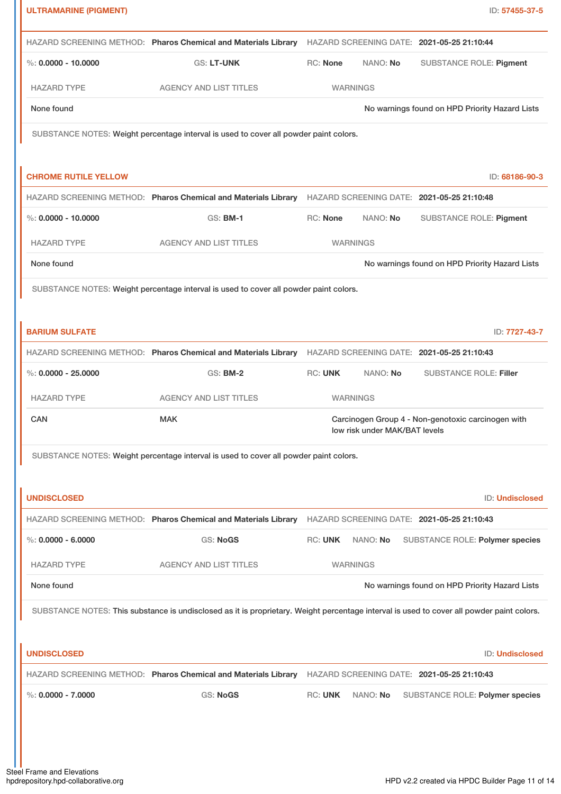| <b>ULTRAMARINE (PIGMENT)</b> |                                                                                                                                           |                                                | ID: 57455-37-5                                     |  |
|------------------------------|-------------------------------------------------------------------------------------------------------------------------------------------|------------------------------------------------|----------------------------------------------------|--|
|                              | HAZARD SCREENING METHOD: Pharos Chemical and Materials Library HAZARD SCREENING DATE: 2021-05-25 21:10:44                                 |                                                |                                                    |  |
| %: $0.0000 - 10.0000$        | GS: LT-UNK                                                                                                                                | <b>RC: None</b><br>NANO: No                    | <b>SUBSTANCE ROLE: Pigment</b>                     |  |
| <b>HAZARD TYPE</b>           | <b>AGENCY AND LIST TITLES</b>                                                                                                             | <b>WARNINGS</b>                                |                                                    |  |
| None found                   |                                                                                                                                           | No warnings found on HPD Priority Hazard Lists |                                                    |  |
|                              | SUBSTANCE NOTES: Weight percentage interval is used to cover all powder paint colors.                                                     |                                                |                                                    |  |
| <b>CHROME RUTILE YELLOW</b>  |                                                                                                                                           |                                                | ID: 68186-90-3                                     |  |
|                              | HAZARD SCREENING METHOD: Pharos Chemical and Materials Library HAZARD SCREENING DATE: 2021-05-25 21:10:48                                 |                                                |                                                    |  |
| %: $0.0000 - 10.0000$        | <b>GS: BM-1</b>                                                                                                                           | <b>RC: None</b><br>NANO: No                    | <b>SUBSTANCE ROLE: Pigment</b>                     |  |
| <b>HAZARD TYPE</b>           | <b>AGENCY AND LIST TITLES</b>                                                                                                             | <b>WARNINGS</b>                                |                                                    |  |
| None found                   |                                                                                                                                           |                                                | No warnings found on HPD Priority Hazard Lists     |  |
|                              | SUBSTANCE NOTES: Weight percentage interval is used to cover all powder paint colors.                                                     |                                                |                                                    |  |
|                              |                                                                                                                                           |                                                |                                                    |  |
| <b>BARIUM SULFATE</b>        |                                                                                                                                           |                                                | ID: 7727-43-7                                      |  |
|                              | HAZARD SCREENING METHOD: Pharos Chemical and Materials Library HAZARD SCREENING DATE: 2021-05-25 21:10:43                                 |                                                |                                                    |  |
| $\%: 0.0000 - 25.0000$       | <b>GS: BM-2</b>                                                                                                                           | <b>RC: UNK</b><br>NANO: No                     | <b>SUBSTANCE ROLE: Filler</b>                      |  |
| <b>HAZARD TYPE</b>           | <b>AGENCY AND LIST TITLES</b>                                                                                                             | <b>WARNINGS</b>                                |                                                    |  |
| CAN                          | <b>MAK</b>                                                                                                                                | low risk under MAK/BAT levels                  | Carcinogen Group 4 - Non-genotoxic carcinogen with |  |
|                              | SUBSTANCE NOTES: Weight percentage interval is used to cover all powder paint colors.                                                     |                                                |                                                    |  |
|                              |                                                                                                                                           |                                                |                                                    |  |
| <b>UNDISCLOSED</b>           |                                                                                                                                           |                                                | <b>ID: Undisclosed</b>                             |  |
|                              | HAZARD SCREENING METHOD: Pharos Chemical and Materials Library HAZARD SCREENING DATE: 2021-05-25 21:10:43                                 |                                                |                                                    |  |
| $\%$ : 0.0000 - 6.0000       | <b>GS: NoGS</b>                                                                                                                           | <b>RC: UNK</b><br>NANO: No                     | <b>SUBSTANCE ROLE: Polymer species</b>             |  |
| <b>HAZARD TYPE</b>           | <b>AGENCY AND LIST TITLES</b>                                                                                                             | <b>WARNINGS</b>                                |                                                    |  |
| None found                   |                                                                                                                                           |                                                | No warnings found on HPD Priority Hazard Lists     |  |
|                              | SUBSTANCE NOTES: This substance is undisclosed as it is proprietary. Weight percentage interval is used to cover all powder paint colors. |                                                |                                                    |  |
|                              |                                                                                                                                           |                                                |                                                    |  |
| <b>UNDISCLOSED</b>           |                                                                                                                                           |                                                | ID: Undisclosed                                    |  |
|                              | HAZARD SCREENING METHOD: Pharos Chemical and Materials Library HAZARD SCREENING DATE: 2021-05-25 21:10:43                                 |                                                |                                                    |  |
| $\%: 0.0000 - 7.0000$        | <b>GS: NoGS</b>                                                                                                                           | <b>RC: UNK</b><br>NANO: No                     | SUBSTANCE ROLE: Polymer species                    |  |
|                              |                                                                                                                                           |                                                |                                                    |  |
|                              |                                                                                                                                           |                                                |                                                    |  |
|                              |                                                                                                                                           |                                                |                                                    |  |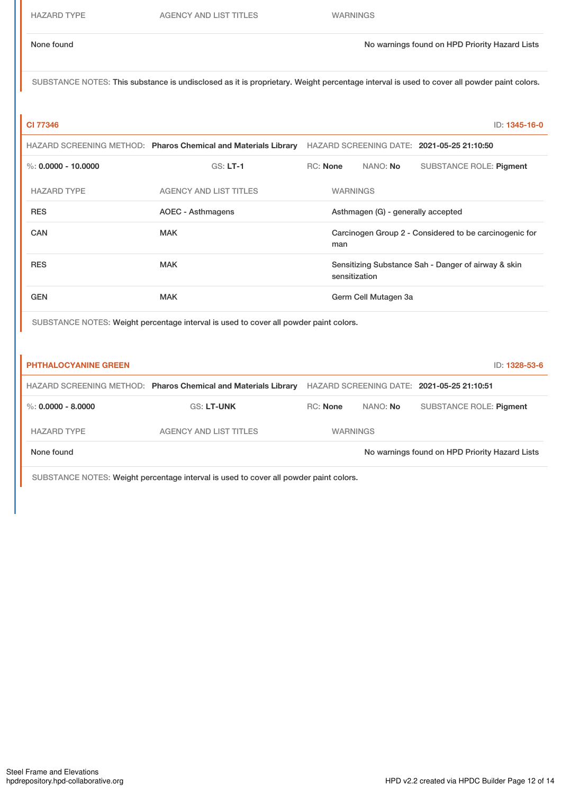SUBSTANCE NOTES: This substance is undisclosed as it is proprietary. Weight percentage interval is used to cover all powder paint colors.

**CI 77346** ID: **1345-16-0**

|                       | HAZARD SCREENING METHOD: Pharos Chemical and Materials Library |                                                                      |                 |                      | HAZARD SCREENING DATE: 2021-05-25 21:10:50 |
|-----------------------|----------------------------------------------------------------|----------------------------------------------------------------------|-----------------|----------------------|--------------------------------------------|
| %: $0.0000 - 10.0000$ | $GS: LT-1$                                                     | RC: None                                                             |                 | NANO: No             | SUBSTANCE ROLE: Pigment                    |
| <b>HAZARD TYPE</b>    | <b>AGENCY AND LIST TITLES</b>                                  |                                                                      | <b>WARNINGS</b> |                      |                                            |
| <b>RES</b>            | AOEC - Asthmagens                                              | Asthmagen (G) - generally accepted                                   |                 |                      |                                            |
| <b>CAN</b>            | <b>MAK</b>                                                     | Carcinogen Group 2 - Considered to be carcinogenic for<br>man        |                 |                      |                                            |
| <b>RES</b>            | <b>MAK</b>                                                     | Sensitizing Substance Sah - Danger of airway & skin<br>sensitization |                 |                      |                                            |
| <b>GEN</b>            | <b>MAK</b>                                                     |                                                                      |                 | Germ Cell Mutagen 3a |                                            |

SUBSTANCE NOTES: Weight percentage interval is used to cover all powder paint colors.

| <b>PHTHALOCYANINE GREEN</b> |                                                                |                 |          | ID: 1328-53-6                                  |
|-----------------------------|----------------------------------------------------------------|-----------------|----------|------------------------------------------------|
|                             | HAZARD SCREENING METHOD: Pharos Chemical and Materials Library |                 |          | HAZARD SCREENING DATE: 2021-05-25 21:10:51     |
| %: $0.0000 - 8.0000$        | <b>GS: LT-UNK</b>                                              | <b>RC:</b> None | NANO: No | SUBSTANCE ROLE: Pigment                        |
| <b>HAZARD TYPE</b>          | <b>AGENCY AND LIST TITLES</b>                                  | <b>WARNINGS</b> |          |                                                |
| None found                  |                                                                |                 |          | No warnings found on HPD Priority Hazard Lists |

SUBSTANCE NOTES: Weight percentage interval is used to cover all powder paint colors.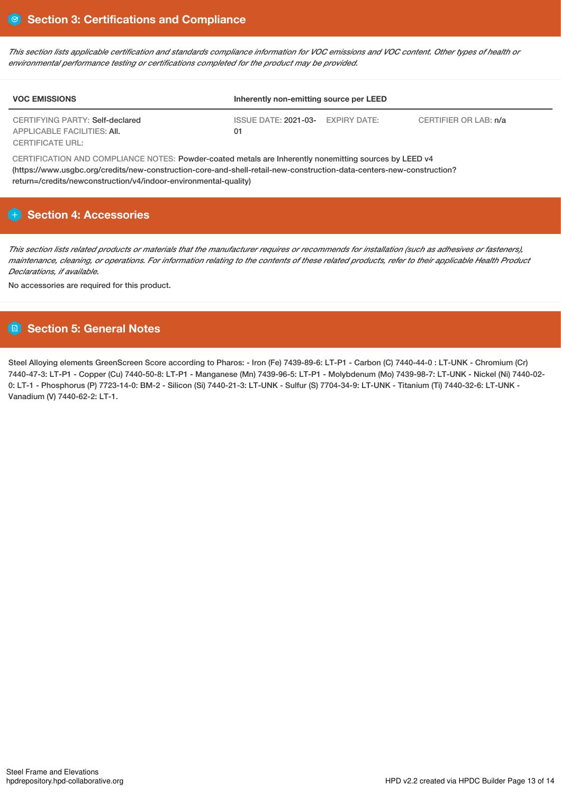This section lists applicable certification and standards compliance information for VOC emissions and VOC content. Other types of health or *environmental performance testing or certifications completed for the product may be provided.*

| <b>VOC EMISSIONS</b>                                           | Inherently non-emitting source per LEED |              |                       |
|----------------------------------------------------------------|-----------------------------------------|--------------|-----------------------|
| CERTIFYING PARTY: Self-declared<br>APPLICABLE FACILITIES: AII. | ISSUE DATE: <b>2021-03-</b><br>01       | EXPIRY DATE: | CERTIFIER OR LAB: n/a |
| CERTIFICATE URL:                                               |                                         |              |                       |

CERTIFICATION AND COMPLIANCE NOTES: Powder-coated metals are Inherently nonemitting sources by LEED v4 (https://www.usgbc.org/credits/new-construction-core-and-shell-retail-new-construction-data-centers-new-construction? return=/credits/newconstruction/v4/indoor-environmental-quality)

## **Section 4: Accessories**

This section lists related products or materials that the manufacturer requires or recommends for installation (such as adhesives or fasteners). maintenance, cleaning, or operations. For information relating to the contents of these related products, refer to their applicable Health Product *Declarations, if available.*

No accessories are required for this product.

# **Section 5: General Notes**

Steel Alloying elements GreenScreen Score according to Pharos: - Iron (Fe) 7439-89-6: LT-P1 - Carbon (C) 7440-44-0 : LT-UNK - Chromium (Cr) 7440-47-3: LT-P1 - Copper (Cu) 7440-50-8: LT-P1 - Manganese (Mn) 7439-96-5: LT-P1 - Molybdenum (Mo) 7439-98-7: LT-UNK - Nickel (Ni) 7440-02- 0: LT-1 - Phosphorus (P) 7723-14-0: BM-2 - Silicon (Si) 7440-21-3: LT-UNK - Sulfur (S) 7704-34-9: LT-UNK - Titanium (Ti) 7440-32-6: LT-UNK - Vanadium (V) 7440-62-2: LT-1.